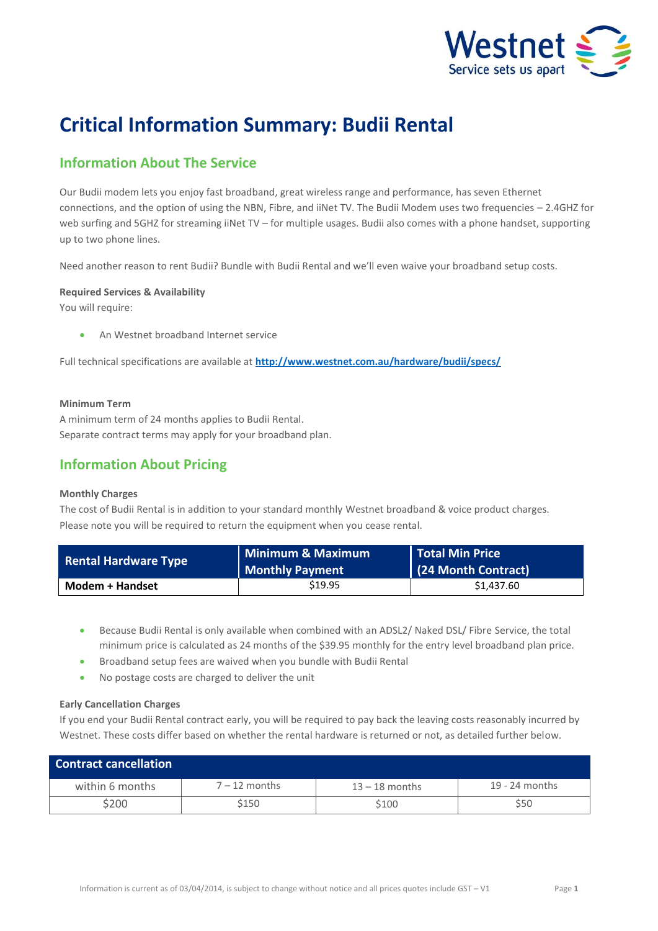

# **Critical Information Summary: Budii Rental**

## **Information About The Service**

Our Budii modem lets you enjoy fast broadband, great wireless range and performance, has seven Ethernet connections, and the option of using the NBN, Fibre, and iiNet TV. The Budii Modem uses two frequencies – 2.4GHZ for web surfing and 5GHZ for streaming iiNet TV – for multiple usages. Budii also comes with a phone handset, supporting up to two phone lines.

Need another reason to rent Budii? Bundle with Budii Rental and we'll even waive your broadband setup costs.

#### **Required Services & Availability**

You will require:

An Westnet broadband Internet service

Full technical specifications are available at **<http://www.westnet.com.au/hardware/budii/specs/>**

#### **Minimum Term**

A minimum term of 24 months applies to Budii Rental. Separate contract terms may apply for your broadband plan.

### **Information About Pricing**

#### **Monthly Charges**

The cost of Budii Rental is in addition to your standard monthly Westnet broadband & voice product charges. Please note you will be required to return the equipment when you cease rental.

| <b>Rental Hardware Type</b> | Minimum & Maximum<br><b>Monthly Payment</b> | Total Min Price<br>(24 Month Contract) |
|-----------------------------|---------------------------------------------|----------------------------------------|
| Modem + Handset             | \$19.95                                     | \$1,437.60                             |

- Because Budii Rental is only available when combined with an ADSL2/ Naked DSL/ Fibre Service, the total minimum price is calculated as 24 months of the \$39.95 monthly for the entry level broadband plan price.
- Broadband setup fees are waived when you bundle with Budii Rental
- No postage costs are charged to deliver the unit

#### **Early Cancellation Charges**

If you end your Budii Rental contract early, you will be required to pay back the leaving costs reasonably incurred by Westnet. These costs differ based on whether the rental hardware is returned or not, as detailed further below.

| <b>Contract cancellation</b> |                 |                  |                  |
|------------------------------|-----------------|------------------|------------------|
| within 6 months              | $7 - 12$ months | $13 - 18$ months | $19 - 24$ months |
| \$200                        | \$150           | \$100            | \$50             |